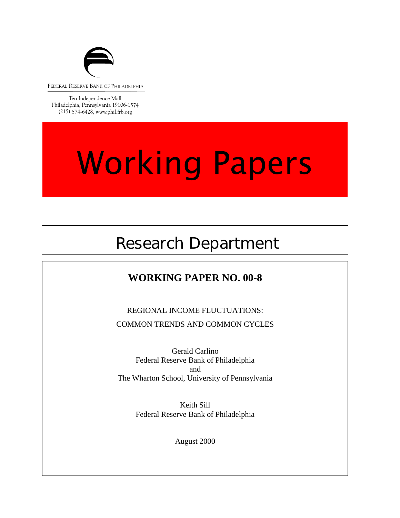

FEDERAL RESERVE BANK OF PHILADELPHIA

Ten Independence Mall Philadelphia, Pennsylvania 19106-1574 (215) 574-6428, www.phil.frb.org

# **Working Papers**

## Research Department

## **WORKING PAPER NO. 00-8**

REGIONAL INCOME FLUCTUATIONS: COMMON TRENDS AND COMMON CYCLES

Gerald Carlino Federal Reserve Bank of Philadelphia and The Wharton School, University of Pennsylvania

> Keith Sill Federal Reserve Bank of Philadelphia

> > August 2000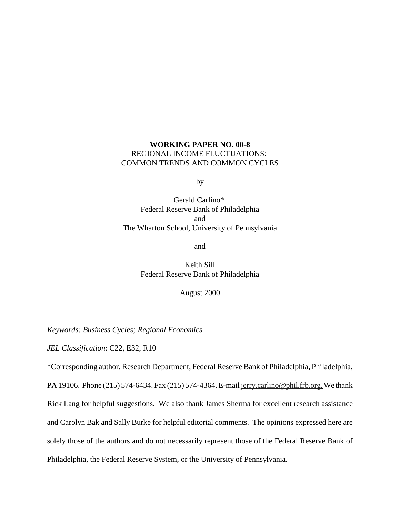### **WORKING PAPER NO. 00-8** REGIONAL INCOME FLUCTUATIONS: COMMON TRENDS AND COMMON CYCLES

by

Gerald Carlino\* Federal Reserve Bank of Philadelphia and The Wharton School, University of Pennsylvania

and

Keith Sill Federal Reserve Bank of Philadelphia

August 2000

*Keywords: Business Cycles; Regional Economics*

*JEL Classification*: C22, E32, R10

\*Corresponding author. Research Department, Federal Reserve Bank of Philadelphia, Philadelphia,

PA 19106. Phone (215) 574-6434. Fax (215) 574-4364. E-mail jerry.carlino@phil.frb.org. We thank Rick Lang for helpful suggestions. We also thank James Sherma for excellent research assistance and Carolyn Bak and Sally Burke for helpful editorial comments. The opinions expressed here are solely those of the authors and do not necessarily represent those of the Federal Reserve Bank of Philadelphia, the Federal Reserve System, or the University of Pennsylvania.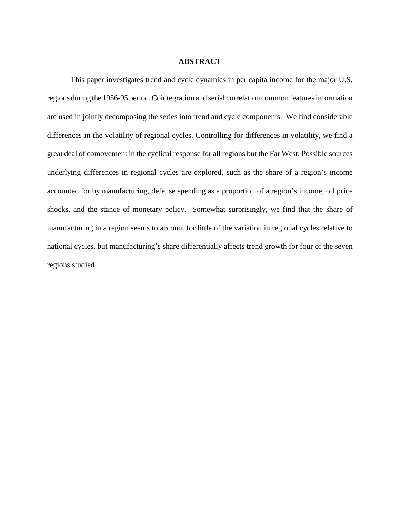#### **ABSTRACT**

This paper investigates trend and cycle dynamics in per capita income for the major U.S. regions during the 1956-95 period. Cointegration and serial correlation common features information are used in jointly decomposing the series into trend and cycle components. We find considerable differences in the volatility of regional cycles. Controlling for differences in volatility, we find a great deal of comovement in the cyclical response for all regions but the Far West. Possible sources underlying differences in regional cycles are explored, such as the share of a region's income accounted for by manufacturing, defense spending as a proportion of a region's income, oil price shocks, and the stance of monetary policy. Somewhat surprisingly, we find that the share of manufacturing in a region seems to account for little of the variation in regional cycles relative to national cycles, but manufacturing's share differentially affects trend growth for four of the seven regions studied.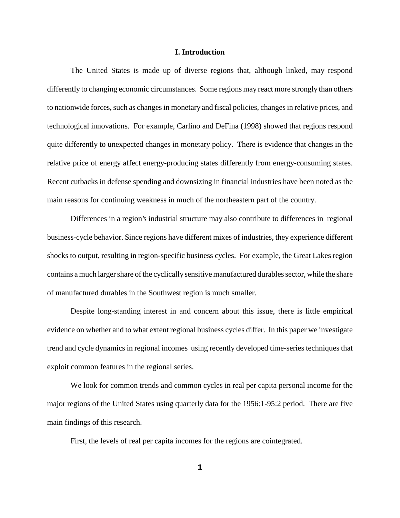#### **I. Introduction**

The United States is made up of diverse regions that, although linked, may respond differently to changing economic circumstances. Some regions may react more strongly than others to nationwide forces, such as changes in monetary and fiscal policies, changes in relative prices, and technological innovations. For example, Carlino and DeFina (1998) showed that regions respond quite differently to unexpected changes in monetary policy. There is evidence that changes in the relative price of energy affect energy-producing states differently from energy-consuming states. Recent cutbacks in defense spending and downsizing in financial industries have been noted as the main reasons for continuing weakness in much of the northeastern part of the country.

Differences in a region's industrial structure may also contribute to differences in regional business-cycle behavior. Since regions have different mixes of industries, they experience different shocks to output, resulting in region-specific business cycles. For example, the Great Lakes region contains a much larger share of the cyclically sensitive manufactured durables sector, while the share of manufactured durables in the Southwest region is much smaller.

Despite long-standing interest in and concern about this issue, there is little empirical evidence on whether and to what extent regional business cycles differ. In this paper we investigate trend and cycle dynamics in regional incomes using recently developed time-series techniques that exploit common features in the regional series.

We look for common trends and common cycles in real per capita personal income for the major regions of the United States using quarterly data for the 1956:1-95:2 period. There are five main findings of this research.

First, the levels of real per capita incomes for the regions are cointegrated.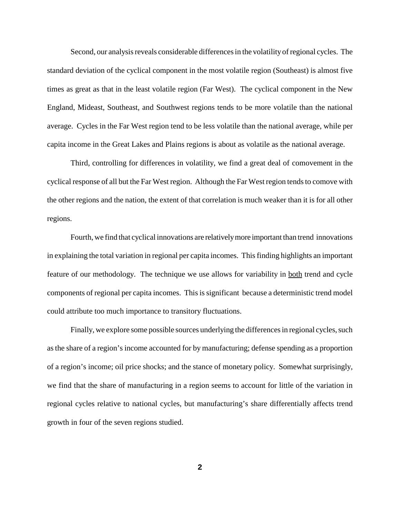Second, our analysis reveals considerable differences in the volatility of regional cycles. The standard deviation of the cyclical component in the most volatile region (Southeast) is almost five times as great as that in the least volatile region (Far West). The cyclical component in the New England, Mideast, Southeast, and Southwest regions tends to be more volatile than the national average. Cycles in the Far West region tend to be less volatile than the national average, while per capita income in the Great Lakes and Plains regions is about as volatile as the national average.

Third, controlling for differences in volatility, we find a great deal of comovement in the cyclical response of all but the Far West region. Although the Far West region tends to comove with the other regions and the nation, the extent of that correlation is much weaker than it is for all other regions.

Fourth, we find that cyclical innovations are relatively more important than trend innovations in explaining the total variation in regional per capita incomes. This finding highlights an important feature of our methodology. The technique we use allows for variability in both trend and cycle components of regional per capita incomes. This is significant because a deterministic trend model could attribute too much importance to transitory fluctuations.

Finally, we explore some possible sources underlying the differences in regional cycles, such as the share of a region's income accounted for by manufacturing; defense spending as a proportion of a region's income; oil price shocks; and the stance of monetary policy. Somewhat surprisingly, we find that the share of manufacturing in a region seems to account for little of the variation in regional cycles relative to national cycles, but manufacturing's share differentially affects trend growth in four of the seven regions studied.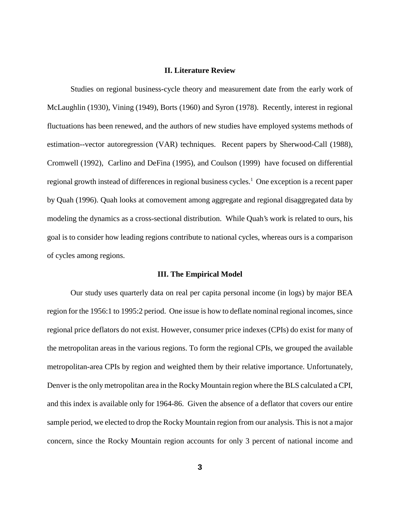#### **II. Literature Review**

Studies on regional business-cycle theory and measurement date from the early work of McLaughlin (1930), Vining (1949), Borts (1960) and Syron (1978). Recently, interest in regional fluctuations has been renewed, and the authors of new studies have employed systems methods of estimation--vector autoregression (VAR) techniques. Recent papers by Sherwood-Call (1988), Cromwell (1992), Carlino and DeFina (1995), and Coulson (1999) have focused on differential regional growth instead of differences in regional business cycles.<sup>1</sup> One exception is a recent paper by Quah (1996). Quah looks at comovement among aggregate and regional disaggregated data by modeling the dynamics as a cross-sectional distribution. While Quah's work is related to ours, his goal is to consider how leading regions contribute to national cycles, whereas ours is a comparison of cycles among regions.

#### **III. The Empirical Model**

Our study uses quarterly data on real per capita personal income (in logs) by major BEA region for the 1956:1 to 1995:2 period. One issue is how to deflate nominal regional incomes, since regional price deflators do not exist. However, consumer price indexes (CPIs) do exist for many of the metropolitan areas in the various regions. To form the regional CPIs, we grouped the available metropolitan-area CPIs by region and weighted them by their relative importance. Unfortunately, Denver is the only metropolitan area in the Rocky Mountain region where the BLS calculated a CPI, and this index is available only for 1964-86. Given the absence of a deflator that covers our entire sample period, we elected to drop the Rocky Mountain region from our analysis. This is not a major concern, since the Rocky Mountain region accounts for only 3 percent of national income and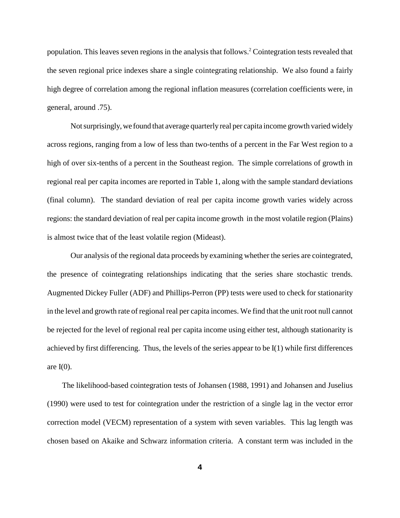population. This leaves seven regions in the analysis that follows.<sup>2</sup> Cointegration tests revealed that the seven regional price indexes share a single cointegrating relationship. We also found a fairly high degree of correlation among the regional inflation measures (correlation coefficients were, in general, around .75).

Not surprisingly, we found that average quarterly real per capita income growth varied widely across regions, ranging from a low of less than two-tenths of a percent in the Far West region to a high of over six-tenths of a percent in the Southeast region. The simple correlations of growth in regional real per capita incomes are reported in Table 1, along with the sample standard deviations (final column). The standard deviation of real per capita income growth varies widely across regions: the standard deviation of real per capita income growth in the most volatile region (Plains) is almost twice that of the least volatile region (Mideast).

Our analysis of the regional data proceeds by examining whether the series are cointegrated, the presence of cointegrating relationships indicating that the series share stochastic trends. Augmented Dickey Fuller (ADF) and Phillips-Perron (PP) tests were used to check for stationarity in the level and growth rate of regional real per capita incomes. We find that the unit root null cannot be rejected for the level of regional real per capita income using either test, although stationarity is achieved by first differencing. Thus, the levels of the series appear to be I(1) while first differences are  $I(0)$ .

 The likelihood-based cointegration tests of Johansen (1988, 1991) and Johansen and Juselius (1990) were used to test for cointegration under the restriction of a single lag in the vector error correction model (VECM) representation of a system with seven variables. This lag length was chosen based on Akaike and Schwarz information criteria. A constant term was included in the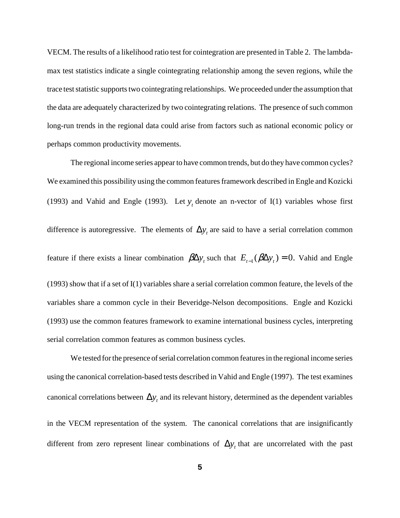VECM. The results of a likelihood ratio test for cointegration are presented in Table 2. The lambdamax test statistics indicate a single cointegrating relationship among the seven regions, while the trace test statistic supports two cointegrating relationships. We proceeded under the assumption that the data are adequately characterized by two cointegrating relations. The presence of such common long-run trends in the regional data could arise from factors such as national economic policy or perhaps common productivity movements.

The regional income series appear to have common trends, but do they have common cycles? We examined this possibility using the common features framework described in Engle and Kozicki (1993) and Vahid and Engle (1993). Let  $y_t$  denote an n-vector of I(1) variables whose first difference is autoregressive. The elements of  $\Delta y$ , are said to have a serial correlation common feature if there exists a linear combination  $\beta \Delta y_t$  such that  $E_{t-1}(\beta \Delta y_t) = 0$ . Vahid and Engle (1993) show that if a set of I(1) variables share a serial correlation common feature, the levels of the variables share a common cycle in their Beveridge-Nelson decompositions. Engle and Kozicki (1993) use the common features framework to examine international business cycles, interpreting serial correlation common features as common business cycles.

We tested for the presence of serial correlation common features in the regional income series using the canonical correlation-based tests described in Vahid and Engle (1997). The test examines canonical correlations between  $\Delta y_t$  and its relevant history, determined as the dependent variables in the VECM representation of the system. The canonical correlations that are insignificantly different from zero represent linear combinations of  $\Delta y_t$  that are uncorrelated with the past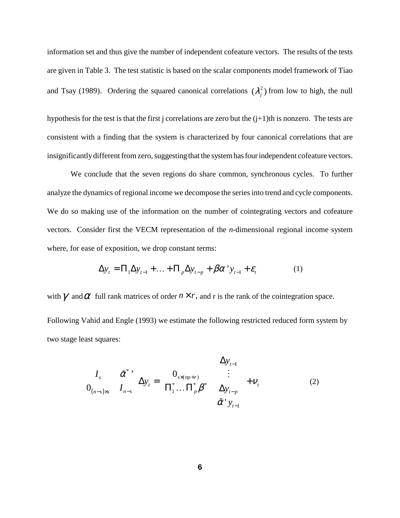information set and thus give the number of independent cofeature vectors. The results of the tests are given in Table 3. The test statistic is based on the scalar components model framework of Tiao and Tsay (1989). Ordering the squared canonical correlations  $(\lambda_i^2)$  from low to high, the null

hypothesis for the test is that the first j correlations are zero but the  $(j+1)$ th is nonzero. The tests are consistent with a finding that the system is characterized by four canonical correlations that are insignificantly different from zero, suggesting that the system has four independent cofeature vectors.

We conclude that the seven regions do share common, synchronous cycles. To further analyze the dynamics of regional income we decompose the series into trend and cycle components. We do so making use of the information on the number of cointegrating vectors and cofeature vectors. Consider first the VECM representation of the *n*-dimensional regional income system where, for ease of exposition, we drop constant terms:

$$
\Delta y_t = \Pi_1 \Delta y_{t-1} + \dots + \Pi_p \Delta y_{t-p} + \beta \alpha^{\prime} y_{t-1} + \varepsilon_t \tag{1}
$$

with  $\gamma$  and  $\alpha$  full rank matrices of order  $n \times r$ , and r is the rank of the cointegration space.

Following Vahid and Engle (1993) we estimate the following restricted reduced form system by two stage least squares:

$$
\begin{bmatrix}\nI_s & \tilde{\alpha}^* \\
0_{(n-s)\times s} & I_{n-s}\n\end{bmatrix}\Delta y_t = \begin{bmatrix}\n0_{s\times (np+r)} \\
\Pi_1^* \dots \Pi_p^* \beta^*\n\end{bmatrix}\n\begin{bmatrix}\n\Delta y_{t-1} \\
\vdots \\
\Delta y_{t-p} \\
\hat{\alpha}^* y_{t-1}\n\end{bmatrix} + V_t
$$
\n(2)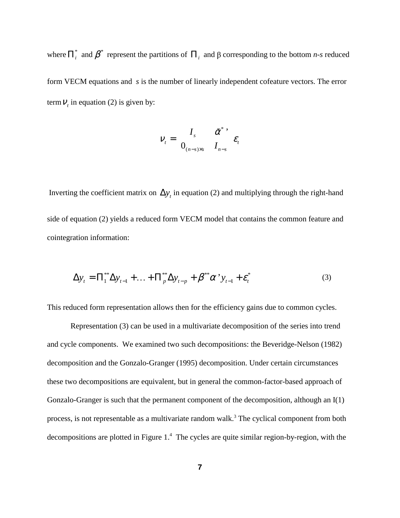where  $\prod_{i}^{*}$  and  $\pmb{\beta}^{*}$  represent the partitions of  $\prod_{i}$  and  $\beta$  corresponding to the bottom *n-s* reduced form VECM equations and *s* is the number of linearly independent cofeature vectors. The error term  $V_t$ , in equation (2) is given by:

$$
V_t = \begin{bmatrix} I_s & \tilde{\alpha}^* \\ 0_{(n-s)\times s} & I_{n-s} \end{bmatrix} \varepsilon_t
$$

Inverting the coefficient matrix on  $\Delta y_t$  in equation (2) and multiplying through the right-hand side of equation (2) yields a reduced form VECM model that contains the common feature and cointegration information:

$$
\Delta y_t = \Pi_1^{**} \Delta y_{t-1} + ... + \Pi_p^{**} \Delta y_{t-p} + \beta^{**} \alpha^{*} y_{t-1} + \varepsilon_t^{*}
$$
 (3)

This reduced form representation allows then for the efficiency gains due to common cycles.

Representation (3) can be used in a multivariate decomposition of the series into trend and cycle components. We examined two such decompositions: the Beveridge-Nelson (1982) decomposition and the Gonzalo-Granger (1995) decomposition. Under certain circumstances these two decompositions are equivalent, but in general the common-factor-based approach of Gonzalo-Granger is such that the permanent component of the decomposition, although an I(1) process, is not representable as a multivariate random walk.<sup>3</sup> The cyclical component from both decompositions are plotted in Figure 1.<sup>4</sup> The cycles are quite similar region-by-region, with the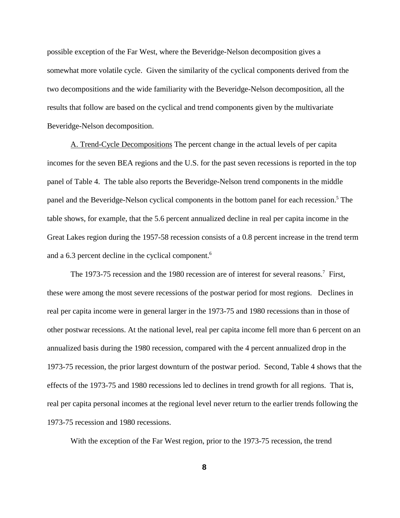possible exception of the Far West, where the Beveridge-Nelson decomposition gives a somewhat more volatile cycle. Given the similarity of the cyclical components derived from the two decompositions and the wide familiarity with the Beveridge-Nelson decomposition, all the results that follow are based on the cyclical and trend components given by the multivariate Beveridge-Nelson decomposition.

A. Trend-Cycle Decompositions The percent change in the actual levels of per capita incomes for the seven BEA regions and the U.S. for the past seven recessions is reported in the top panel of Table 4. The table also reports the Beveridge-Nelson trend components in the middle panel and the Beveridge-Nelson cyclical components in the bottom panel for each recession.<sup>5</sup> The table shows, for example, that the 5.6 percent annualized decline in real per capita income in the Great Lakes region during the 1957-58 recession consists of a 0.8 percent increase in the trend term and a 6.3 percent decline in the cyclical component.<sup>6</sup>

The 1973-75 recession and the 1980 recession are of interest for several reasons.<sup>7</sup> First, these were among the most severe recessions of the postwar period for most regions. Declines in real per capita income were in general larger in the 1973-75 and 1980 recessions than in those of other postwar recessions. At the national level, real per capita income fell more than 6 percent on an annualized basis during the 1980 recession, compared with the 4 percent annualized drop in the 1973-75 recession, the prior largest downturn of the postwar period. Second, Table 4 shows that the effects of the 1973-75 and 1980 recessions led to declines in trend growth for all regions. That is, real per capita personal incomes at the regional level never return to the earlier trends following the 1973-75 recession and 1980 recessions.

With the exception of the Far West region, prior to the 1973-75 recession, the trend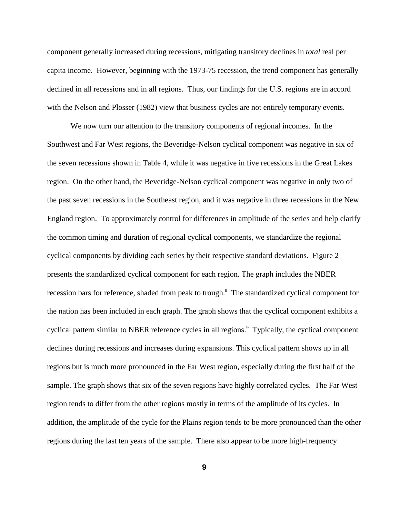component generally increased during recessions, mitigating transitory declines in *total* real per capita income. However, beginning with the 1973-75 recession, the trend component has generally declined in all recessions and in all regions. Thus, our findings for the U.S. regions are in accord with the Nelson and Plosser (1982) view that business cycles are not entirely temporary events.

We now turn our attention to the transitory components of regional incomes. In the Southwest and Far West regions, the Beveridge-Nelson cyclical component was negative in six of the seven recessions shown in Table 4, while it was negative in five recessions in the Great Lakes region. On the other hand, the Beveridge-Nelson cyclical component was negative in only two of the past seven recessions in the Southeast region, and it was negative in three recessions in the New England region. To approximately control for differences in amplitude of the series and help clarify the common timing and duration of regional cyclical components, we standardize the regional cyclical components by dividing each series by their respective standard deviations. Figure 2 presents the standardized cyclical component for each region. The graph includes the NBER recession bars for reference, shaded from peak to trough.<sup>8</sup> The standardized cyclical component for the nation has been included in each graph. The graph shows that the cyclical component exhibits a cyclical pattern similar to NBER reference cycles in all regions.<sup>9</sup> Typically, the cyclical component declines during recessions and increases during expansions. This cyclical pattern shows up in all regions but is much more pronounced in the Far West region, especially during the first half of the sample. The graph shows that six of the seven regions have highly correlated cycles. The Far West region tends to differ from the other regions mostly in terms of the amplitude of its cycles. In addition, the amplitude of the cycle for the Plains region tends to be more pronounced than the other regions during the last ten years of the sample. There also appear to be more high-frequency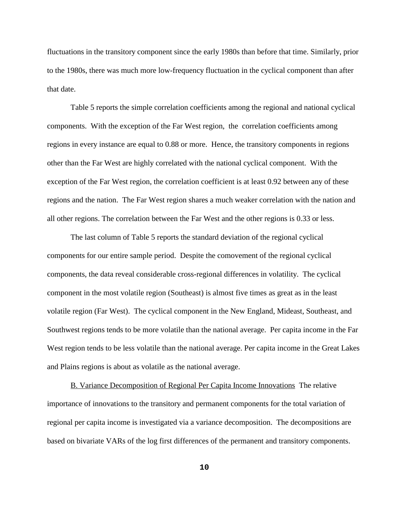fluctuations in the transitory component since the early 1980s than before that time. Similarly, prior to the 1980s, there was much more low-frequency fluctuation in the cyclical component than after that date.

Table 5 reports the simple correlation coefficients among the regional and national cyclical components. With the exception of the Far West region, the correlation coefficients among regions in every instance are equal to 0.88 or more. Hence, the transitory components in regions other than the Far West are highly correlated with the national cyclical component. With the exception of the Far West region, the correlation coefficient is at least 0.92 between any of these regions and the nation. The Far West region shares a much weaker correlation with the nation and all other regions. The correlation between the Far West and the other regions is 0.33 or less.

The last column of Table 5 reports the standard deviation of the regional cyclical components for our entire sample period. Despite the comovement of the regional cyclical components, the data reveal considerable cross-regional differences in volatility. The cyclical component in the most volatile region (Southeast) is almost five times as great as in the least volatile region (Far West). The cyclical component in the New England, Mideast, Southeast, and Southwest regions tends to be more volatile than the national average. Per capita income in the Far West region tends to be less volatile than the national average. Per capita income in the Great Lakes and Plains regions is about as volatile as the national average.

B. Variance Decomposition of Regional Per Capita Income Innovations The relative importance of innovations to the transitory and permanent components for the total variation of regional per capita income is investigated via a variance decomposition. The decompositions are based on bivariate VARs of the log first differences of the permanent and transitory components.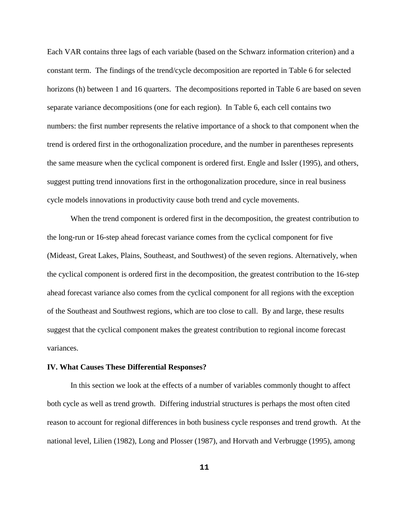Each VAR contains three lags of each variable (based on the Schwarz information criterion) and a constant term. The findings of the trend/cycle decomposition are reported in Table 6 for selected horizons (h) between 1 and 16 quarters. The decompositions reported in Table 6 are based on seven separate variance decompositions (one for each region). In Table 6, each cell contains two numbers: the first number represents the relative importance of a shock to that component when the trend is ordered first in the orthogonalization procedure, and the number in parentheses represents the same measure when the cyclical component is ordered first. Engle and Issler (1995), and others, suggest putting trend innovations first in the orthogonalization procedure, since in real business cycle models innovations in productivity cause both trend and cycle movements.

When the trend component is ordered first in the decomposition, the greatest contribution to the long-run or 16-step ahead forecast variance comes from the cyclical component for five (Mideast, Great Lakes, Plains, Southeast, and Southwest) of the seven regions. Alternatively, when the cyclical component is ordered first in the decomposition, the greatest contribution to the 16-step ahead forecast variance also comes from the cyclical component for all regions with the exception of the Southeast and Southwest regions, which are too close to call. By and large, these results suggest that the cyclical component makes the greatest contribution to regional income forecast variances.

#### **IV. What Causes These Differential Responses?**

In this section we look at the effects of a number of variables commonly thought to affect both cycle as well as trend growth. Differing industrial structures is perhaps the most often cited reason to account for regional differences in both business cycle responses and trend growth. At the national level, Lilien (1982), Long and Plosser (1987), and Horvath and Verbrugge (1995), among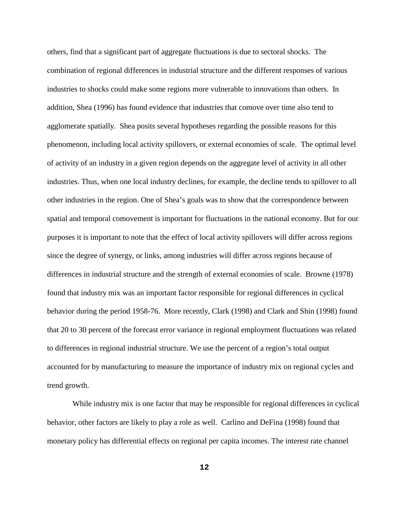others, find that a significant part of aggregate fluctuations is due to sectoral shocks. The combination of regional differences in industrial structure and the different responses of various industries to shocks could make some regions more vulnerable to innovations than others. In addition, Shea (1996) has found evidence that industries that comove over time also tend to agglomerate spatially. Shea posits several hypotheses regarding the possible reasons for this phenomenon, including local activity spillovers, or external economies of scale. The optimal level of activity of an industry in a given region depends on the aggregate level of activity in all other industries. Thus, when one local industry declines, for example, the decline tends to spillover to all other industries in the region. One of Shea's goals was to show that the correspondence between spatial and temporal comovement is important for fluctuations in the national economy. But for our purposes it is important to note that the effect of local activity spillovers will differ across regions since the degree of synergy, or links, among industries will differ across regions because of differences in industrial structure and the strength of external economies of scale. Browne (1978) found that industry mix was an important factor responsible for regional differences in cyclical behavior during the period 1958-76. More recently, Clark (1998) and Clark and Shin (1998) found that 20 to 30 percent of the forecast error variance in regional employment fluctuations was related to differences in regional industrial structure. We use the percent of a region's total output accounted for by manufacturing to measure the importance of industry mix on regional cycles and trend growth.

 While industry mix is one factor that may be responsible for regional differences in cyclical behavior, other factors are likely to play a role as well. Carlino and DeFina (1998) found that monetary policy has differential effects on regional per capita incomes. The interest rate channel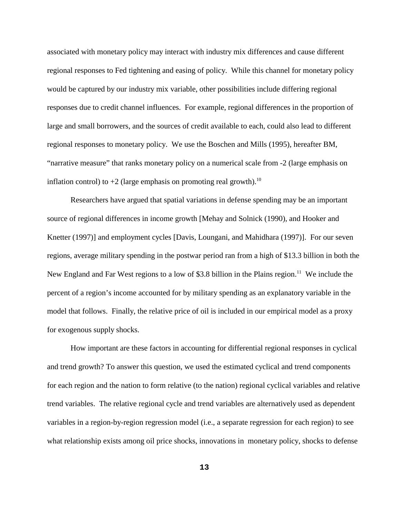associated with monetary policy may interact with industry mix differences and cause different regional responses to Fed tightening and easing of policy. While this channel for monetary policy would be captured by our industry mix variable, other possibilities include differing regional responses due to credit channel influences. For example, regional differences in the proportion of large and small borrowers, and the sources of credit available to each, could also lead to different regional responses to monetary policy. We use the Boschen and Mills (1995), hereafter BM, "narrative measure" that ranks monetary policy on a numerical scale from -2 (large emphasis on inflation control) to  $+2$  (large emphasis on promoting real growth).<sup>10</sup>

Researchers have argued that spatial variations in defense spending may be an important source of regional differences in income growth [Mehay and Solnick (1990), and Hooker and Knetter (1997)] and employment cycles [Davis, Loungani, and Mahidhara (1997)]. For our seven regions, average military spending in the postwar period ran from a high of \$13.3 billion in both the New England and Far West regions to a low of \$3.8 billion in the Plains region.<sup>11</sup> We include the percent of a region's income accounted for by military spending as an explanatory variable in the model that follows. Finally, the relative price of oil is included in our empirical model as a proxy for exogenous supply shocks.

How important are these factors in accounting for differential regional responses in cyclical and trend growth? To answer this question, we used the estimated cyclical and trend components for each region and the nation to form relative (to the nation) regional cyclical variables and relative trend variables. The relative regional cycle and trend variables are alternatively used as dependent variables in a region-by-region regression model (i.e., a separate regression for each region) to see what relationship exists among oil price shocks, innovations in monetary policy, shocks to defense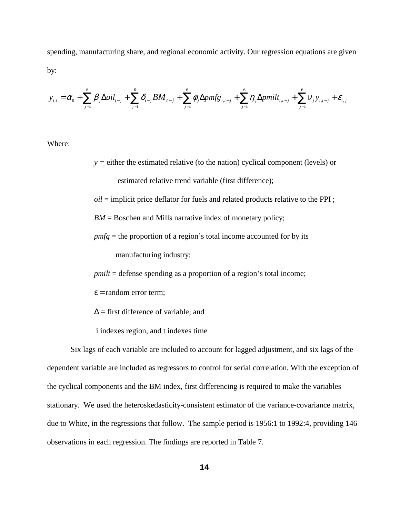spending, manufacturing share, and regional economic activity. Our regression equations are given by:

$$
y_{i,t} = \alpha_0 + \sum_{j=1}^{6} \beta_j \Delta oil_{t-j} + \sum_{j=1}^{6} \delta_{t-j} BM_{t-j} + \sum_{j=1}^{6} \phi_j \Delta pmfg_{i,t-j} + \sum_{j=1}^{6} \eta_j \Delta pmilt_{i,t-j} + \sum_{j=1}^{6} \nu_j y_{i,t-j} + \varepsilon_{i,j}
$$

Where:

*y =* either the estimated relative (to the nation) cyclical component (levels) or estimated relative trend variable (first difference);

*oil* = implicit price deflator for fuels and related products relative to the PPI ;

*BM* = Boschen and Mills narrative index of monetary policy;

*pmfg* = the proportion of a region's total income accounted for by its

manufacturing industry;

*pmilt* = defense spending as a proportion of a region's total income;

- $\epsilon$  = random error term;
- $\Delta$  = first difference of variable; and
- i indexes region, and t indexes time

Six lags of each variable are included to account for lagged adjustment, and six lags of the dependent variable are included as regressors to control for serial correlation. With the exception of the cyclical components and the BM index, first differencing is required to make the variables stationary. We used the heteroskedasticity-consistent estimator of the variance-covariance matrix, due to White, in the regressions that follow. The sample period is 1956:1 to 1992:4, providing 146 observations in each regression. The findings are reported in Table 7.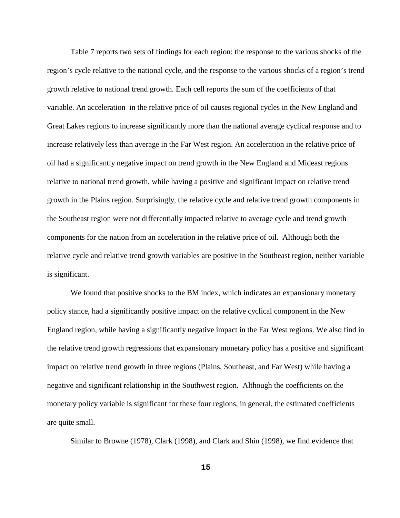Table 7 reports two sets of findings for each region: the response to the various shocks of the region's cycle relative to the national cycle, and the response to the various shocks of a region's trend growth relative to national trend growth. Each cell reports the sum of the coefficients of that variable. An acceleration in the relative price of oil causes regional cycles in the New England and Great Lakes regions to increase significantly more than the national average cyclical response and to increase relatively less than average in the Far West region. An acceleration in the relative price of oil had a significantly negative impact on trend growth in the New England and Mideast regions relative to national trend growth, while having a positive and significant impact on relative trend growth in the Plains region. Surprisingly, the relative cycle and relative trend growth components in the Southeast region were not differentially impacted relative to average cycle and trend growth components for the nation from an acceleration in the relative price of oil. Although both the relative cycle and relative trend growth variables are positive in the Southeast region, neither variable is significant.

We found that positive shocks to the BM index, which indicates an expansionary monetary policy stance, had a significantly positive impact on the relative cyclical component in the New England region, while having a significantly negative impact in the Far West regions. We also find in the relative trend growth regressions that expansionary monetary policy has a positive and significant impact on relative trend growth in three regions (Plains, Southeast, and Far West) while having a negative and significant relationship in the Southwest region. Although the coefficients on the monetary policy variable is significant for these four regions, in general, the estimated coefficients are quite small.

Similar to Browne (1978), Clark (1998), and Clark and Shin (1998), we find evidence that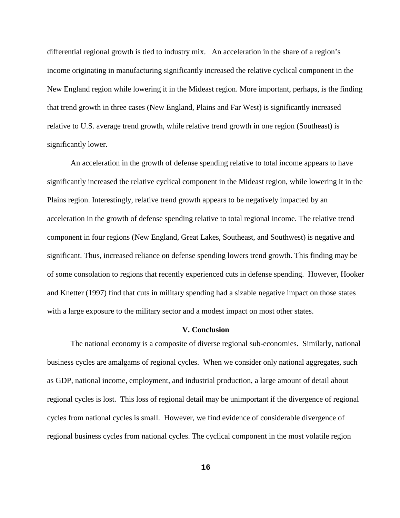differential regional growth is tied to industry mix. An acceleration in the share of a region's income originating in manufacturing significantly increased the relative cyclical component in the New England region while lowering it in the Mideast region. More important, perhaps, is the finding that trend growth in three cases (New England, Plains and Far West) is significantly increased relative to U.S. average trend growth, while relative trend growth in one region (Southeast) is significantly lower.

An acceleration in the growth of defense spending relative to total income appears to have significantly increased the relative cyclical component in the Mideast region, while lowering it in the Plains region. Interestingly, relative trend growth appears to be negatively impacted by an acceleration in the growth of defense spending relative to total regional income. The relative trend component in four regions (New England, Great Lakes, Southeast, and Southwest) is negative and significant. Thus, increased reliance on defense spending lowers trend growth. This finding may be of some consolation to regions that recently experienced cuts in defense spending. However, Hooker and Knetter (1997) find that cuts in military spending had a sizable negative impact on those states with a large exposure to the military sector and a modest impact on most other states.

#### **V. Conclusion**

The national economy is a composite of diverse regional sub-economies. Similarly, national business cycles are amalgams of regional cycles. When we consider only national aggregates, such as GDP, national income, employment, and industrial production, a large amount of detail about regional cycles is lost. This loss of regional detail may be unimportant if the divergence of regional cycles from national cycles is small. However, we find evidence of considerable divergence of regional business cycles from national cycles. The cyclical component in the most volatile region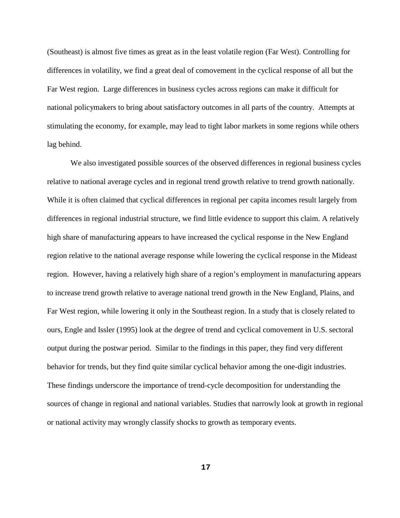(Southeast) is almost five times as great as in the least volatile region (Far West). Controlling for differences in volatility, we find a great deal of comovement in the cyclical response of all but the Far West region. Large differences in business cycles across regions can make it difficult for national policymakers to bring about satisfactory outcomes in all parts of the country. Attempts at stimulating the economy, for example, may lead to tight labor markets in some regions while others lag behind.

We also investigated possible sources of the observed differences in regional business cycles relative to national average cycles and in regional trend growth relative to trend growth nationally. While it is often claimed that cyclical differences in regional per capita incomes result largely from differences in regional industrial structure, we find little evidence to support this claim. A relatively high share of manufacturing appears to have increased the cyclical response in the New England region relative to the national average response while lowering the cyclical response in the Mideast region. However, having a relatively high share of a region's employment in manufacturing appears to increase trend growth relative to average national trend growth in the New England, Plains, and Far West region, while lowering it only in the Southeast region. In a study that is closely related to ours, Engle and Issler (1995) look at the degree of trend and cyclical comovement in U.S. sectoral output during the postwar period. Similar to the findings in this paper, they find very different behavior for trends, but they find quite similar cyclical behavior among the one-digit industries. These findings underscore the importance of trend-cycle decomposition for understanding the sources of change in regional and national variables. Studies that narrowly look at growth in regional or national activity may wrongly classify shocks to growth as temporary events.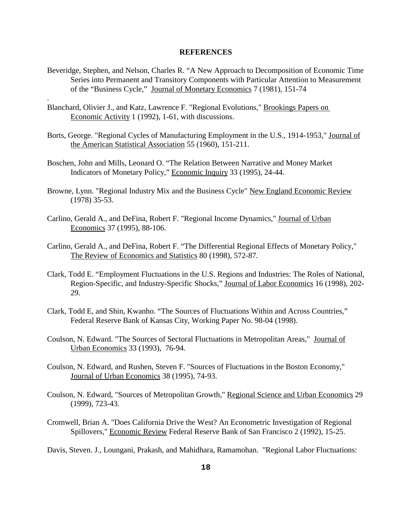#### **REFERENCES**

- Beveridge, Stephen, and Nelson, Charles R. "A New Approach to Decomposition of Economic Time Series into Permanent and Transitory Components with Particular Attention to Measurement of the "Business Cycle," Journal of Monetary Economics 7 (1981), 151-74
- Blanchard, Olivier J., and Katz, Lawrence F. "Regional Evolutions," Brookings Papers on Economic Activity 1 (1992), 1-61, with discussions.

.

- Borts, George. "Regional Cycles of Manufacturing Employment in the U.S., 1914-1953," Journal of the American Statistical Association 55 (1960), 151-211.
- Boschen, John and Mills, Leonard O. "The Relation Between Narrative and Money Market Indicators of Monetary Policy," Economic Inquiry 33 (1995), 24-44.
- Browne, Lynn. "Regional Industry Mix and the Business Cycle" New England Economic Review (1978) 35-53.
- Carlino, Gerald A., and DeFina, Robert F. "Regional Income Dynamics," Journal of Urban Economics 37 (1995), 88-106.
- Carlino, Gerald A., and DeFina, Robert F. "The Differential Regional Effects of Monetary Policy," The Review of Economics and Statistics 80 (1998), 572-87.
- Clark, Todd E. "Employment Fluctuations in the U.S. Regions and Industries: The Roles of National, Region-Specific, and Industry-Specific Shocks," Journal of Labor Economics 16 (1998), 202- 29.
- Clark, Todd E, and Shin, Kwanho. "The Sources of Fluctuations Within and Across Countries," Federal Reserve Bank of Kansas City, Working Paper No. 98-04 (1998).
- Coulson, N. Edward. "The Sources of Sectoral Fluctuations in Metropolitan Areas," Journal of Urban Economics 33 (1993), 76-94.
- Coulson, N. Edward, and Rushen, Steven F. "Sources of Fluctuations in the Boston Economy," Journal of Urban Economics 38 (1995), 74-93.
- Coulson, N. Edward, "Sources of Metropolitan Growth," Regional Science and Urban Economics 29 (1999), 723-43.
- Cromwell, Brian A. "Does California Drive the West? An Econometric Investigation of Regional Spillovers," Economic Review Federal Reserve Bank of San Francisco 2 (1992), 15-25.

Davis, Steven. J., Loungani, Prakash, and Mahidhara, Ramamohan. "Regional Labor Fluctuations: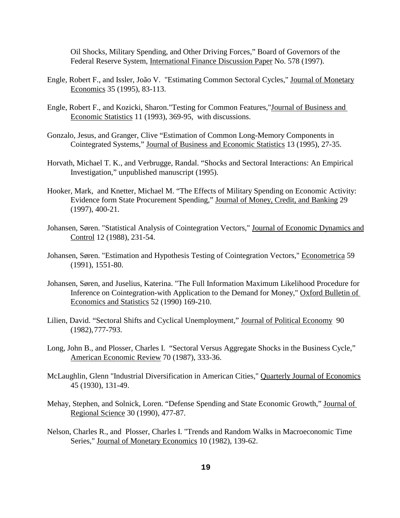Oil Shocks, Military Spending, and Other Driving Forces," Board of Governors of the Federal Reserve System, International Finance Discussion Paper No. 578 (1997).

- Engle, Robert F., and Issler, João V. "Estimating Common Sectoral Cycles," Journal of Monetary Economics 35 (1995), 83-113.
- Engle, Robert F., and Kozicki, Sharon."Testing for Common Features,"Journal of Business and Economic Statistics 11 (1993), 369-95, with discussions.
- Gonzalo, Jesus, and Granger, Clive "Estimation of Common Long-Memory Components in Cointegrated Systems," Journal of Business and Economic Statistics 13 (1995), 27-35.
- Horvath, Michael T. K., and Verbrugge, Randal. "Shocks and Sectoral Interactions: An Empirical Investigation," unpublished manuscript (1995).
- Hooker, Mark, and Knetter, Michael M. "The Effects of Military Spending on Economic Activity: Evidence form State Procurement Spending," Journal of Money, Credit, and Banking 29 (1997), 400-21.
- Johansen, Søren. "Statistical Analysis of Cointegration Vectors," Journal of Economic Dynamics and Control 12 (1988), 231-54.
- Johansen, Søren. "Estimation and Hypothesis Testing of Cointegration Vectors," Econometrica 59 (1991), 1551-80.
- Johansen, Søren, and Juselius, Katerina. "The Full Information Maximum Likelihood Procedure for Inference on Cointegration-with Application to the Demand for Money," Oxford Bulletin of Economics and Statistics 52 (1990) 169-210.
- Lilien, David. "Sectoral Shifts and Cyclical Unemployment," Journal of Political Economy 90 (1982),777-793.
- Long, John B., and Plosser, Charles I. "Sectoral Versus Aggregate Shocks in the Business Cycle," American Economic Review 70 (1987), 333-36.
- McLaughlin, Glenn "Industrial Diversification in American Cities," Quarterly Journal of Economics 45 (1930), 131-49.
- Mehay, Stephen, and Solnick, Loren. "Defense Spending and State Economic Growth," Journal of Regional Science 30 (1990), 477-87.
- Nelson, Charles R., and Plosser, Charles I. "Trends and Random Walks in Macroeconomic Time Series," Journal of Monetary Economics 10 (1982), 139-62.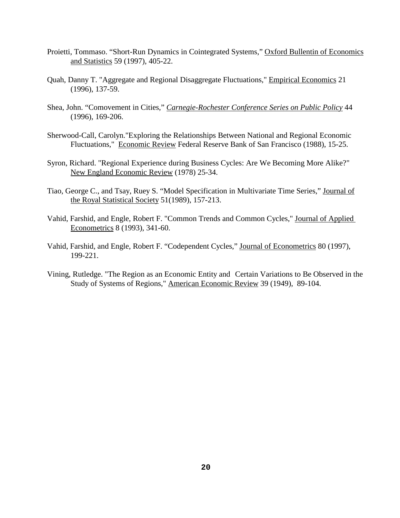- Proietti, Tommaso. "Short-Run Dynamics in Cointegrated Systems," Oxford Bullentin of Economics and Statistics 59 (1997), 405-22.
- Quah, Danny T. "Aggregate and Regional Disaggregate Fluctuations," Empirical Economics 21 (1996), 137-59.
- Shea, John. "Comovement in Cities," *Carnegie-Rochester Conference Series on Public Policy* 44 (1996), 169-206.
- Sherwood-Call, Carolyn."Exploring the Relationships Between National and Regional Economic Fluctuations," Economic Review Federal Reserve Bank of San Francisco (1988), 15-25.
- Syron, Richard. "Regional Experience during Business Cycles: Are We Becoming More Alike?" New England Economic Review (1978) 25-34.
- Tiao, George C., and Tsay, Ruey S. "Model Specification in Multivariate Time Series," Journal of the Royal Statistical Society 51(1989), 157-213.
- Vahid, Farshid, and Engle, Robert F. "Common Trends and Common Cycles," Journal of Applied Econometrics 8 (1993), 341-60.
- Vahid, Farshid, and Engle, Robert F. "Codependent Cycles," Journal of Econometrics 80 (1997), 199-221.
- Vining, Rutledge. "The Region as an Economic Entity and Certain Variations to Be Observed in the Study of Systems of Regions," American Economic Review 39 (1949), 89-104.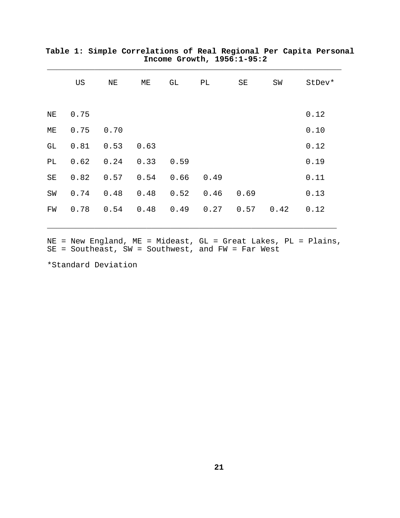|    | US          | ${\rm NE}$                  |  | ME GL PL SE                                | SW | StDev*                                             |
|----|-------------|-----------------------------|--|--------------------------------------------|----|----------------------------------------------------|
|    |             |                             |  |                                            |    |                                                    |
|    | NE 0.75     |                             |  |                                            |    | 0.12                                               |
| МE | $0.75$ 0.70 |                             |  |                                            |    | 0.10                                               |
| GL |             | $0.81$ $0.53$ $0.63$        |  |                                            |    | 0.12                                               |
| PL |             | $0.62$ $0.24$ $0.33$ $0.59$ |  |                                            |    | 0.19                                               |
| SE |             | $0.82$ 0.57 0.54 0.66 0.49  |  |                                            |    | 0.11                                               |
| SW |             |                             |  | $0.74$ 0.48 0.48 0.52 0.46 0.69            |    | 0.13                                               |
|    |             |                             |  | FW 0.78 0.54 0.48 0.49 0.27 0.57 0.42 0.12 |    |                                                    |
|    |             |                             |  |                                            |    |                                                    |
|    |             |                             |  |                                            |    | $NE = New England$ , $ME = Mideast$ , $GL = Great$ |

**Table 1: Simple Correlations of Real Regional Per Capita Personal Income Growth, 1956:1-95:2** \_\_\_\_\_\_\_\_\_\_\_\_\_\_\_\_\_\_\_\_\_\_\_\_\_\_\_\_\_\_\_\_\_\_\_\_\_\_\_\_\_\_\_\_\_\_\_\_\_\_\_\_\_\_\_\_\_\_\_\_\_\_

SE = Southeast, SW = Southwest, and FW = Far West

\*Standard Deviation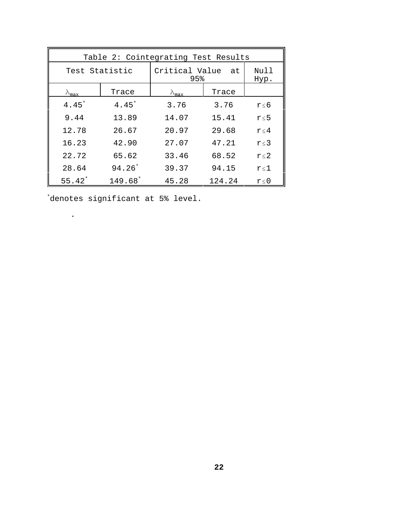| Table 2: Cointegrating Test Results |                     |                          |              |            |  |  |  |  |  |
|-------------------------------------|---------------------|--------------------------|--------------|------------|--|--|--|--|--|
|                                     | Test Statistic      | Critical Value at<br>95% | Null<br>Hyp. |            |  |  |  |  |  |
| $\Lambda_{\texttt{max}}$            | Trace               | $\lambda_{\texttt{max}}$ | Trace        |            |  |  |  |  |  |
| $4.45*$                             | $4.45$ <sup>*</sup> | 3.76                     | 3.76         | $r \leq 6$ |  |  |  |  |  |
| 9.44                                | 13.89               | 14.07                    | 15.41        | $r \leq 5$ |  |  |  |  |  |
| 12.78                               | 26.67               | 20.97                    | 29.68        | $r \leq 4$ |  |  |  |  |  |
| 16.23                               | 42.90               | 27.07                    | 47.21        | $r \leq 3$ |  |  |  |  |  |
| 22.72                               | 65.62               | 33.46                    | 68.52        | $r \leq 2$ |  |  |  |  |  |
| 28.64                               | $94.26*$            | 39.37                    | 94.15        | $r \leq 1$ |  |  |  |  |  |
| $55.42*$                            | 149.68*             | 45.28                    | 124.24       | r < 0      |  |  |  |  |  |

\* denotes significant at 5% level.

.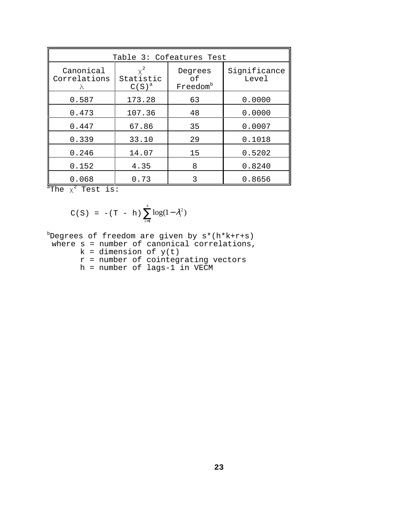| Table 3: Cofeatures Test               |                       |                                       |                       |  |  |  |  |  |
|----------------------------------------|-----------------------|---------------------------------------|-----------------------|--|--|--|--|--|
| Canonical<br>Correlations<br>$\lambda$ | Statistic<br>$C(S)^a$ | Degrees<br>оf<br>Freedom <sup>b</sup> | Significance<br>Level |  |  |  |  |  |
| 0.587                                  | 173.28                | 63                                    | 0.0000                |  |  |  |  |  |
| 0.473                                  | 107.36                | 48                                    | 0.0000                |  |  |  |  |  |
| 0.447                                  | 67.86                 | 35                                    | 0.0007                |  |  |  |  |  |
| 0.339                                  | 33.10                 | 29                                    | 0.1018                |  |  |  |  |  |
| 0.246                                  | 14.07                 | 15                                    | 0.5202                |  |  |  |  |  |
| 0.152                                  | 4.35                  | 8                                     | 0.8240                |  |  |  |  |  |
| 0.068                                  | 0.73                  | 3                                     | 0.8656                |  |  |  |  |  |

 $\mathrm{a}^{\mathrm{a}}$ The  $\chi^{2}$  Test is:

C(S) = 
$$
-(T - h) \sum_{i=1}^{s} log(1 - \lambda_i^2)
$$

b Degrees of freedom are given by s\*(h\*k+r+s)

- where  $s$  = number of canonical correlations,
	- $k =$  dimension of  $y(t)$
	- r = number of cointegrating vectors
	- h = number of lags-1 in VECM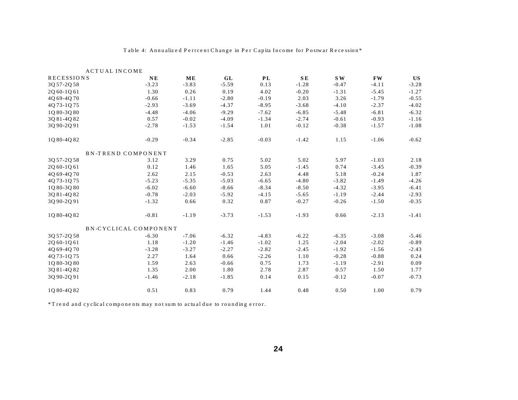| <b>ACTUAL INCOME</b> |                           |         |         |           |           |         |           |         |
|----------------------|---------------------------|---------|---------|-----------|-----------|---------|-----------|---------|
| RECESSIONS           | $N_{\rm E}$               | ME      | GL      | <b>PL</b> | <b>SE</b> | S W     | <b>FW</b> | US      |
| 3Q 57-2Q 58          | $-3.23$                   | $-3.83$ | $-5.59$ | 0.13      | $-1.28$   | $-0.47$ | $-4.11$   | $-3.28$ |
| 2Q 60-1Q 61          | 1.30                      | 0.26    | 0.19    | 4.02      | $-0.20$   | $-1.31$ | $-5.45$   | $-1.27$ |
| 4Q 69-4Q 70          | $-0.66$                   | $-1.11$ | $-2.80$ | $-0.19$   | 2.03      | 3.26    | $-1.79$   | $-0.55$ |
| 4Q73-1Q75            | $-2.93$                   | $-3.69$ | $-4.37$ | $-8.95$   | $-3.68$   | $-4.10$ | $-2.37$   | $-4.02$ |
| 1080-3080            | $-4.48$                   | $-4.06$ | $-9.29$ | $-7.62$   | $-6.85$   | $-5.48$ | $-6.81$   | $-6.32$ |
| 3081-4082            | 0.57                      | $-0.02$ | $-4.09$ | $-1.34$   | $-2.74$   | $-0.61$ | $-0.93$   | $-1.16$ |
| 3Q 90-2Q 91          | $-2.78$                   | $-1.53$ | $-1.54$ | 1.01      | $-0.12$   | $-0.38$ | $-1.57$   | $-1.08$ |
| 1Q80-4Q82            | $-0.29$                   | $-0.34$ | $-2.85$ | $-0.03$   | $-1.42$   | 1.15    | $-1.06$   | $-0.62$ |
|                      | <b>BN-TREND COMPONENT</b> |         |         |           |           |         |           |         |
| 30 57-20 58          | 3.12                      | 3.29    | 0.75    | 5.02      | 5.02      | 5.97    | $-1.03$   | 2.18    |
| 2Q 60-1Q 61          | 0.12                      | 1.46    | 1.65    | 5.05      | $-1.45$   | 0.74    | $-3.45$   | $-0.39$ |
| 40 69-40 70          | 2.62                      | 2.15    | $-0.53$ | 2.63      | 4.48      | 5.18    | $-0.24$   | 1.87    |
| 4Q73-1Q75            | $-5.23$                   | $-5.35$ | $-5.03$ | $-6.65$   | $-4.80$   | $-3.82$ | $-1.49$   | $-4.26$ |
| 1Q80-3Q80            | $-6.02$                   | $-6.60$ | $-8.66$ | $-8.34$   | $-8.50$   | $-4.32$ | $-3.95$   | $-6.41$ |
| 3Q 81-4Q 82          | $-0.78$                   | $-2.03$ | $-5.92$ | $-4.15$   | $-5.65$   | $-1.19$ | $-2.44$   | $-2.93$ |
| 30 90-20 91          | $-1.32$                   | 0.66    | 0.32    | 0.87      | $-0.27$   | $-0.26$ | $-1.50$   | $-0.35$ |
| 1Q80-4Q82            | $-0.81$                   | $-1.19$ | $-3.73$ | $-1.53$   | $-1.93$   | 0.66    | $-2.13$   | $-1.41$ |
|                      | BN-CYCLICAL COMPONENT     |         |         |           |           |         |           |         |
| 3Q 57-2Q 58          | $-6.30$                   | $-7.06$ | $-6.32$ | $-4.83$   | $-6.22$   | $-6.35$ | $-3.08$   | $-5.46$ |
| 20 60-10 61          | 1.18                      | $-1.20$ | $-1.46$ | $-1.02$   | 1.25      | $-2.04$ | $-2.02$   | $-0.89$ |
| 4Q 69-4Q 70          | $-3.28$                   | $-3.27$ | $-2.27$ | $-2.82$   | $-2.45$   | $-1.92$ | $-1.56$   | $-2.43$ |
| 40 73-10 75          | 2.27                      | 1.64    | 0.66    | $-2.26$   | 1.10      | $-0.28$ | $-0.88$   | 0.24    |
| 1080-3080            | 1.59                      | 2.63    | $-0.66$ | 0.75      | 1.73      | $-1.19$ | $-2.91$   | 0.09    |
| 3Q 81-4Q 82          | 1.35                      | 2.00    | 1.80    | 2.78      | 2.87      | 0.57    | 1.50      | 1.77    |
| 30 90-20 91          | $-1.46$                   | $-2.18$ | $-1.85$ | 0.14      | 0.15      | $-0.12$ | $-0.07$   | $-0.73$ |
| 1080-4082            | 0.51                      | 0.83    | 0.79    | 1.44      | 0.48      | 0.50    | 1.00      | 0.79    |
|                      |                           |         |         |           |           |         |           |         |

#### Table 4: Annualized Perrcent Change in Per Capita Income for Postwar Recession\*

 $^*$ T rend and cyclical components may not sum to actual due to rounding error.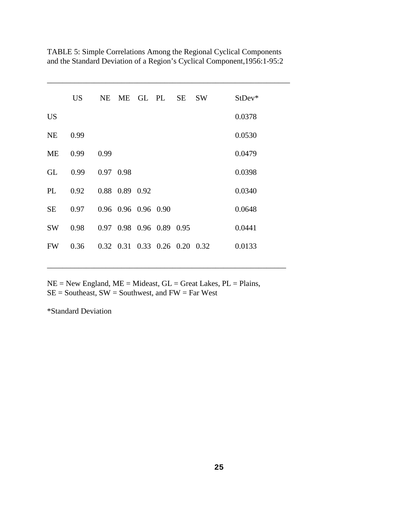|           | <b>US</b> | NE.       |                     | ME GL PL SE                   | <b>SW</b> | $StDev*$ |
|-----------|-----------|-----------|---------------------|-------------------------------|-----------|----------|
| <b>US</b> |           |           |                     |                               |           | 0.0378   |
| <b>NE</b> | 0.99      |           |                     |                               |           | 0.0530   |
| <b>ME</b> | 0.99      | 0.99      |                     |                               |           | 0.0479   |
| GL        | 0.99      | 0.97 0.98 |                     |                               |           | 0.0398   |
| PL        | 0.92      |           | 0.88 0.89 0.92      |                               |           | 0.0340   |
| <b>SE</b> | 0.97      |           | 0.96 0.96 0.96 0.90 |                               |           | 0.0648   |
| <b>SW</b> | 0.98      |           |                     | 0.97 0.98 0.96 0.89 0.95      |           | 0.0441   |
| <b>FW</b> | 0.36      |           |                     | 0.32 0.31 0.33 0.26 0.20 0.32 |           | 0.0133   |

TABLE 5: Simple Correlations Among the Regional Cyclical Components and the Standard Deviation of a Region's Cyclical Component,1956:1-95:2

\_\_\_\_\_\_\_\_\_\_\_\_\_\_\_\_\_\_\_\_\_\_\_\_\_\_\_\_\_\_\_\_\_\_\_\_\_\_\_\_\_\_\_\_\_\_\_\_\_\_\_\_\_\_\_\_\_\_\_\_\_\_

 $NE = New England, ME = Mideast, GL = Great Lakes, PL = Plains,$  $SE =$  Southeast,  $SW =$  Southwest, and  $FW = Far$  West

\_\_\_\_\_\_\_\_\_\_\_\_\_\_\_\_\_\_\_\_\_\_\_\_\_\_\_\_\_\_\_\_\_\_\_\_\_\_\_\_\_\_\_\_\_\_\_\_\_\_\_\_\_\_\_\_\_\_\_\_\_

\*Standard Deviation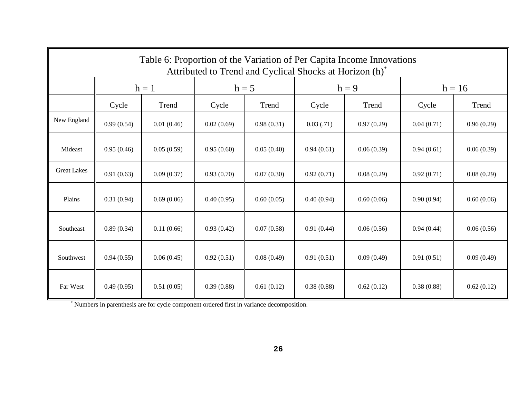| Table 6: Proportion of the Variation of Per Capita Income Innovations<br>Attributed to Trend and Cyclical Shocks at Horizon (h) <sup>*</sup> |            |            |            |            |            |            |            |            |  |  |
|----------------------------------------------------------------------------------------------------------------------------------------------|------------|------------|------------|------------|------------|------------|------------|------------|--|--|
|                                                                                                                                              |            | $h = 1$    |            | $h = 5$    |            | $h = 9$    | $h = 16$   |            |  |  |
|                                                                                                                                              | Cycle      | Trend      | Cycle      | Trend      | Cycle      | Trend      | Cycle      | Trend      |  |  |
| New England                                                                                                                                  | 0.99(0.54) | 0.01(0.46) | 0.02(0.69) | 0.98(0.31) | 0.03(0.71) | 0.97(0.29) | 0.04(0.71) | 0.96(0.29) |  |  |
| Mideast                                                                                                                                      | 0.95(0.46) | 0.05(0.59) | 0.95(0.60) | 0.05(0.40) | 0.94(0.61) | 0.06(0.39) | 0.94(0.61) | 0.06(0.39) |  |  |
| <b>Great Lakes</b>                                                                                                                           | 0.91(0.63) | 0.09(0.37) | 0.93(0.70) | 0.07(0.30) | 0.92(0.71) | 0.08(0.29) | 0.92(0.71) | 0.08(0.29) |  |  |
| Plains                                                                                                                                       | 0.31(0.94) | 0.69(0.06) | 0.40(0.95) | 0.60(0.05) | 0.40(0.94) | 0.60(0.06) | 0.90(0.94) | 0.60(0.06) |  |  |
| Southeast                                                                                                                                    | 0.89(0.34) | 0.11(0.66) | 0.93(0.42) | 0.07(0.58) | 0.91(0.44) | 0.06(0.56) | 0.94(0.44) | 0.06(0.56) |  |  |
| Southwest                                                                                                                                    | 0.94(0.55) | 0.06(0.45) | 0.92(0.51) | 0.08(0.49) | 0.91(0.51) | 0.09(0.49) | 0.91(0.51) | 0.09(0.49) |  |  |
| Far West                                                                                                                                     | 0.49(0.95) | 0.51(0.05) | 0.39(0.88) | 0.61(0.12) | 0.38(0.88) | 0.62(0.12) | 0.38(0.88) | 0.62(0.12) |  |  |

\* Numbers in parenthesis are for cycle component ordered first in variance decomposition.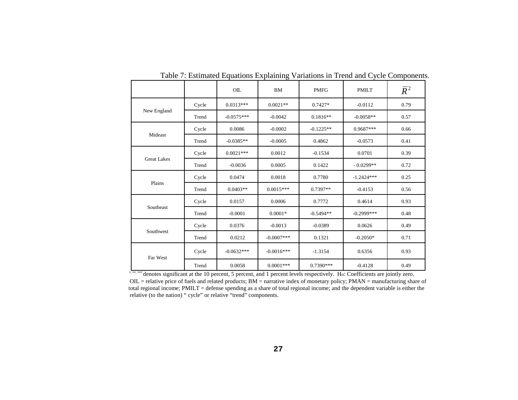|                    |       | OIL          | <b>BM</b>    | <b>PMFG</b> | <b>PMILT</b> | $\overline{R}^2$ |
|--------------------|-------|--------------|--------------|-------------|--------------|------------------|
|                    | Cycle | $0.0313***$  | $0.0021**$   | $0.7427*$   | $-0.0112$    | 0.79             |
| New England        | Trend | $-0.0575***$ | $-0.0042$    | $0.1816**$  | $-0.0058**$  | 0.57             |
|                    | Cycle | 0.0086       | $-0.0002$    | $-0.1225**$ | $0.9687***$  | 0.66             |
| Mideast            | Trend | $-0.0385**$  | $-0.0005$    | 0.4862      | $-0.0573$    | 0.41             |
|                    | Cycle | $0.0021***$  | 0.0012       | $-0.1534$   | 0.0701       | 0.39             |
| <b>Great Lakes</b> | Trend | $-0.0036$    | 0.0005       | 0.1422      | $-0.0299**$  | 0.72             |
|                    | Cycle | 0.0474       | 0.0018       | 0.7780      | $-1.2424***$ | 0.25             |
| Plains             | Trend | $0.0403**$   | $0.0015***$  | $0.7397**$  | $-0.4153$    | 0.56             |
|                    | Cycle | 0.0157       | 0.0006       | 0.7772      | 0.4614       | 0.93             |
| Southeast          | Trend | $-0.0001$    | $0.0001*$    | $-0.5494**$ | $-0.2999***$ | 0.48             |
|                    | Cycle | 0.0376       | $-0.0013$    | $-0.0389$   | 0.0626       | 0.49             |
| Southwest          | Trend | 0.0212       | $-0.0007***$ | 0.1321      | $-0.2050*$   | 0.71             |
| Far West           | Cycle | $-0.0632***$ | $-0.0016***$ | $-1.3154$   | 0.6356       | 0.93             |
|                    | Trend | 0.0058       | $0.0001***$  | 0.7390***   | $-0.4128$    | 0.49             |

Table 7: Estimated Equations Explaining Variations in Trend and Cycle Components.

\*, \*\*, \*\*\* denotes significant at the 10 percent, 5 percent, and 1 percent levels respectively. Ho: Coefficients are jointly zero.  $OL =$  relative price of fuels and related products;  $BM =$  narrative index of monetary policy;  $PMAN =$  manufacturing share of total regional income; PMILT = defense spending as a share of total regional income; and the dependent variable is either the relative (to the nation) " cycle" or relative "trend" components.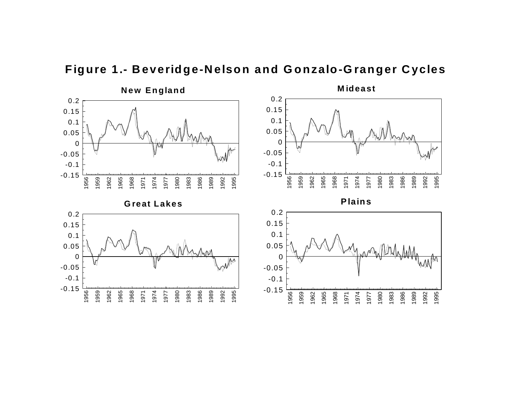

**Figure 1.- Beveridge-Nelson and Gonzalo-Granger Cycles**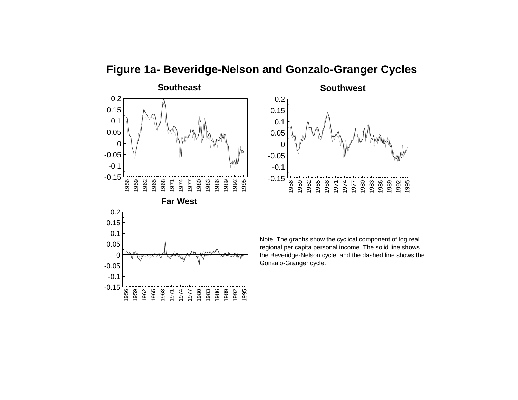**Figure 1a- Beveridge-Nelson and Gonzalo-Granger Cycles**



**Southwest** 1956 1959 1962 1965 1968 1971 1974 1977 1980 1983 1986 1989 1992 1995-0.15 -0.1 -0.05 00.050.10.15 0.2



Note: The graphs show the cyclical component of log real regional per capita personal income. The solid line shows the Beveridge-Nelson cycle, and the dashed line shows the Gonzalo-Granger cycle.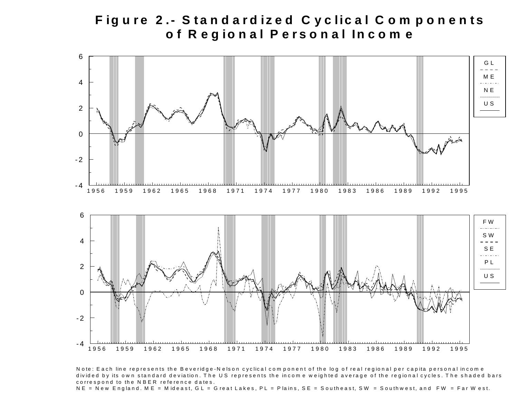## Figure 2.- Standardized Cyclical Components **<sup>o</sup> f R eg io <sup>n</sup> al P erso <sup>n</sup> al In <sup>c</sup> <sup>o</sup> <sup>m</sup> <sup>e</sup>**



Note: Each line represents the Beveridge-Nelson cyclical component of the log of real regional per capita personal income divided by its own standard deviation. The US represents the income weighted average of the regional cycles. The shaded bars correspond to the NBER reference dates.

 $NE = New England$ .  $ME = Mideast$ ,  $GL = GrantLakes$ ,  $PL = Plains$ ,  $SE = Southeast$ ,  $SW = Southwest$ , and  $FW = Far$  W est.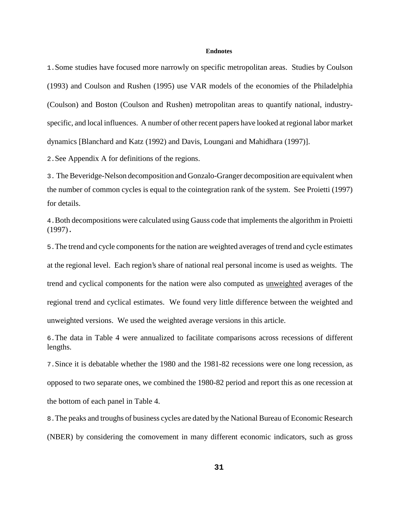#### **Endnotes**

1.Some studies have focused more narrowly on specific metropolitan areas. Studies by Coulson (1993) and Coulson and Rushen (1995) use VAR models of the economies of the Philadelphia (Coulson) and Boston (Coulson and Rushen) metropolitan areas to quantify national, industryspecific, and local influences. A number of other recent papers have looked at regional labor market dynamics [Blanchard and Katz (1992) and Davis, Loungani and Mahidhara (1997)].

2.See Appendix A for definitions of the regions.

3. The Beveridge-Nelson decomposition and Gonzalo-Granger decomposition are equivalent when the number of common cycles is equal to the cointegration rank of the system. See Proietti (1997) for details.

4.Both decompositions were calculated using Gauss code that implements the algorithm in Proietti (1997).

5.The trend and cycle components for the nation are weighted averages of trend and cycle estimates at the regional level. Each region's share of national real personal income is used as weights. The trend and cyclical components for the nation were also computed as unweighted averages of the regional trend and cyclical estimates. We found very little difference between the weighted and unweighted versions. We used the weighted average versions in this article.

6.The data in Table 4 were annualized to facilitate comparisons across recessions of different lengths.

7.Since it is debatable whether the 1980 and the 1981-82 recessions were one long recession, as opposed to two separate ones, we combined the 1980-82 period and report this as one recession at the bottom of each panel in Table 4.

8.The peaks and troughs of business cycles are dated by the National Bureau of Economic Research (NBER) by considering the comovement in many different economic indicators, such as gross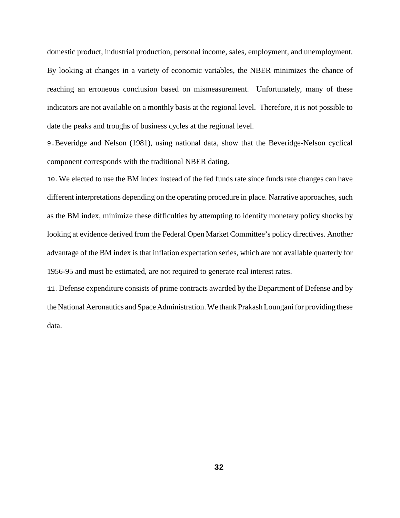domestic product, industrial production, personal income, sales, employment, and unemployment. By looking at changes in a variety of economic variables, the NBER minimizes the chance of reaching an erroneous conclusion based on mismeasurement. Unfortunately, many of these indicators are not available on a monthly basis at the regional level. Therefore, it is not possible to date the peaks and troughs of business cycles at the regional level.

9.Beveridge and Nelson (1981), using national data, show that the Beveridge-Nelson cyclical component corresponds with the traditional NBER dating.

10.We elected to use the BM index instead of the fed funds rate since funds rate changes can have different interpretations depending on the operating procedure in place. Narrative approaches, such as the BM index, minimize these difficulties by attempting to identify monetary policy shocks by looking at evidence derived from the Federal Open Market Committee's policy directives. Another advantage of the BM index is that inflation expectation series, which are not available quarterly for 1956-95 and must be estimated, are not required to generate real interest rates.

11.Defense expenditure consists of prime contracts awarded by the Department of Defense and by the National Aeronautics and Space Administration. We thank Prakash Loungani for providing these data.